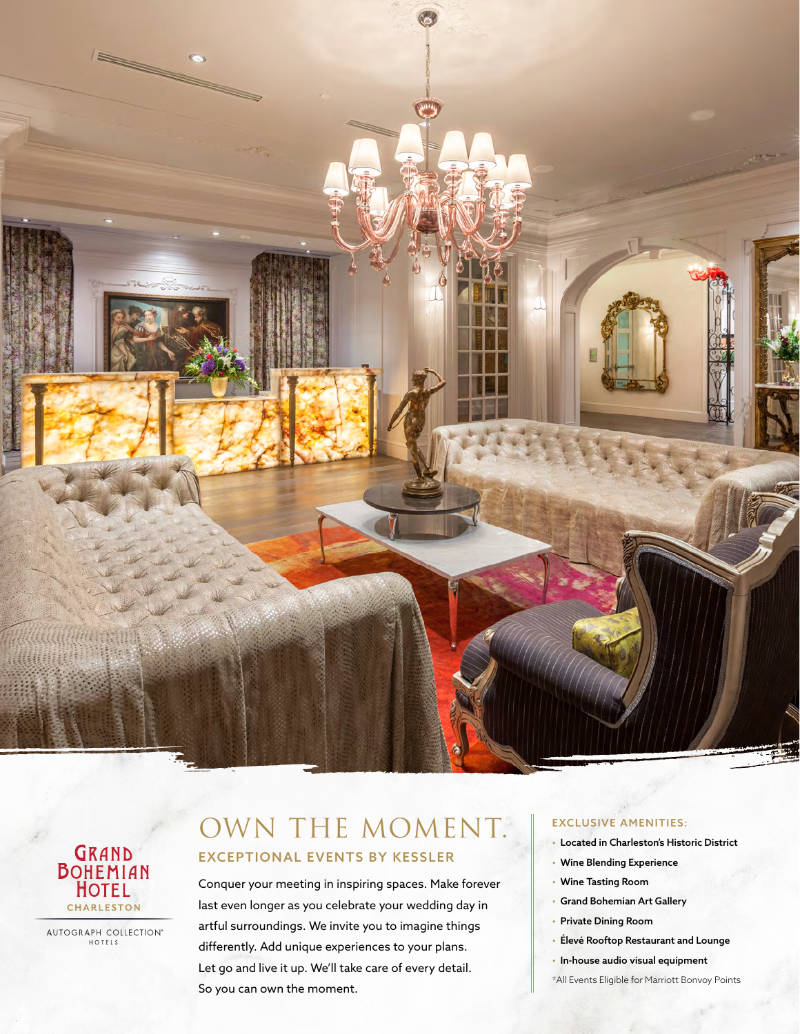



AUTOGRAPH COLLECTION<sup>®</sup>

## OWN THE MOMENT. EXCEPTIONAL EVENTS BY KESSLER

Conquer your meeting in inspiring spaces. Make forever last even longer as you celebrate your wedding day in artful surroundings. We invite you to imagine things differently. Add unique experiences to your plans. Let go and live it up. We'll take care of every detail. So you can own the moment.

## EXCLUSIVE AMENITIES:

- Located in Charleston's Historic District
- Wine Blending Experience
- Wine Tasting Room
- Grand Bohemian Art Gallery
- Private Dining Room
- Élevé Rooftop Restaurant and Lounge
- In-house audio visual equipment
- \*All Events Eligible for Marriott Bonvoy Points